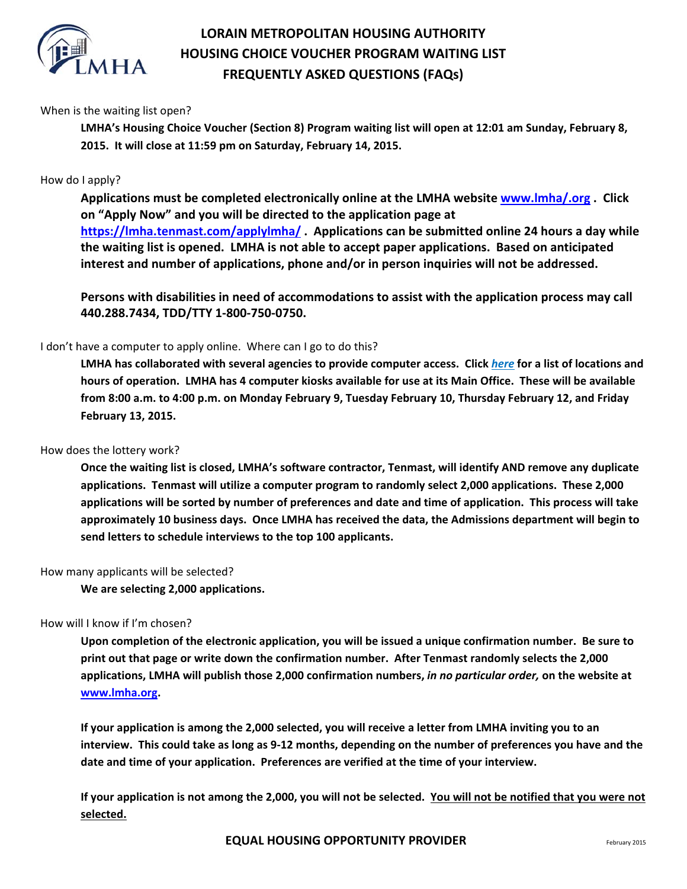

# **LORAIN METROPOLITAN HOUSING AUTHORITY HOUSING CHOICE VOUCHER PROGRAM WAITING LIST FREQUENTLY ASKED QUESTIONS (FAQs)**

## When is the waiting list open?

**LMHA's Housing Choice Voucher (Section 8) Program waiting list will open at 12:01 am Sunday, February 8, 2015. It will close at 11:59 pm on Saturday, February 14, 2015.**

## How do I apply?

**Applications must be completed electronically online at the LMHA website www.lmha/.org . Click on "Apply Now" and you will be directed to the application page at https://lmha.tenmast.com/applylmha/ . Applications can be submitted online 24 hours a day while the waiting list is opened. LMHA is not able to accept paper applications. Based on anticipated interest and number of applications, phone and/or in person inquiries will not be addressed.** 

**Persons with disabilities in need of accommodations to assist with the application process may call 440.288.7434, TDD/TTY 1‐800‐750‐0750.**

## I don't have a computer to apply online. Where can I go to do this?

LMHA has collaborated with several agencies to provide computer access. Click here for a list of locations and hours of operation. LMHA has 4 computer kiosks available for use at its Main Office. These will be available from 8:00 a.m. to 4:00 p.m. on Monday February 9, Tuesday February 10, Thursday February 12, and Friday **February 13, 2015.** 

#### How does the lottery work?

**Once the waiting list is closed, LMHA's software contractor, Tenmast, will identify AND remove any duplicate applications. Tenmast will utilize a computer program to randomly select 2,000 applications. These 2,000** applications will be sorted by number of preferences and date and time of application. This process will take **approximately 10 business days. Once LMHA has received the data, the Admissions department will begin to send letters to schedule interviews to the top 100 applicants.**

#### How many applicants will be selected?

**We are selecting 2,000 applications.**

## How will I know if I'm chosen?

Upon completion of the electronic application, you will be issued a unique confirmation number. Be sure to **print out that page or write down the confirmation number. After Tenmast randomly selects the 2,000 applications, LMHA will publish those 2,000 confirmation numbers,** *in no particular order,* **on the website at www.lmha.org.** 

If your application is among the 2,000 selected, you will receive a letter from LMHA inviting you to an interview. This could take as long as 9-12 months, depending on the number of preferences you have and the **date and time of your application. Preferences are verified at the time of your interview.** 

If your application is not among the 2,000, you will not be selected. You will not be notified that you were not **selected.**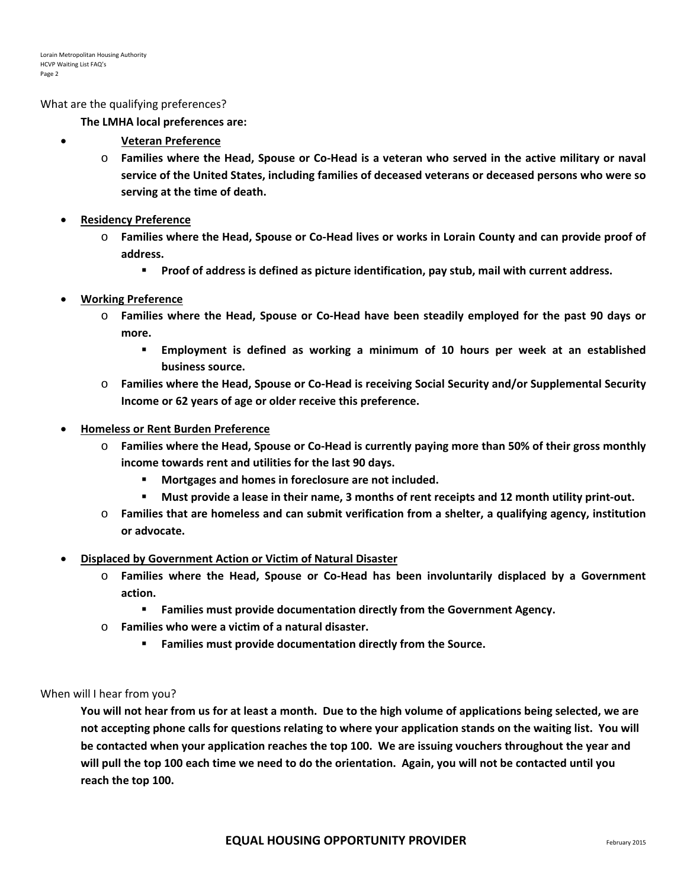What are the qualifying preferences?

**The LMHA local preferences are:**

- **Veteran Preference**
	- $\circ$  Families where the Head, Spouse or Co-Head is a veteran who served in the active military or naval **service of the United States, including families of deceased veterans or deceased persons who were so serving at the time of death.**
- **Residency Preference**
	- $\circ$  Families where the Head, Spouse or Co-Head lives or works in Lorain County and can provide proof of **address.**
		- **Proof of address is defined as picture identification, pay stub, mail with current address.**

## **Working Preference**

- $\circ$  Families where the Head, Spouse or Co-Head have been steadily employed for the past 90 days or **more.**
	- **Employment is defined as working a minimum of 10 hours per week at an established business source.**
- o **Families where the Head, Spouse or Co‐Head is receiving Social Security and/or Supplemental Security Income or 62 years of age or older receive this preference.**
- **Homeless or Rent Burden Preference**
	- $\circ$  Families where the Head, Spouse or Co-Head is currently paying more than 50% of their gross monthly **income towards rent and utilities for the last 90 days.**
		- **Mortgages and homes in foreclosure are not included.**
		- Must provide a lease in their name, 3 months of rent receipts and 12 month utility print-out.
	- o **Families that are homeless and can submit verification from a shelter, a qualifying agency, institution or advocate.**
- **Displaced by Government Action or Victim of Natural Disaster**
	- o **Families where the Head, Spouse or Co‐Head has been involuntarily displaced by a Government action.**
		- **Families must provide documentation directly from the Government Agency.**
	- o **Families who were a victim of a natural disaster.**
		- **Families must provide documentation directly from the Source.**

#### When will I hear from you?

You will not hear from us for at least a month. Due to the high volume of applications being selected, we are not accepting phone calls for questions relating to where your application stands on the waiting list. You will be contacted when your application reaches the top 100. We are issuing vouchers throughout the year and will pull the top 100 each time we need to do the orientation. Again, you will not be contacted until you **reach the top 100.**